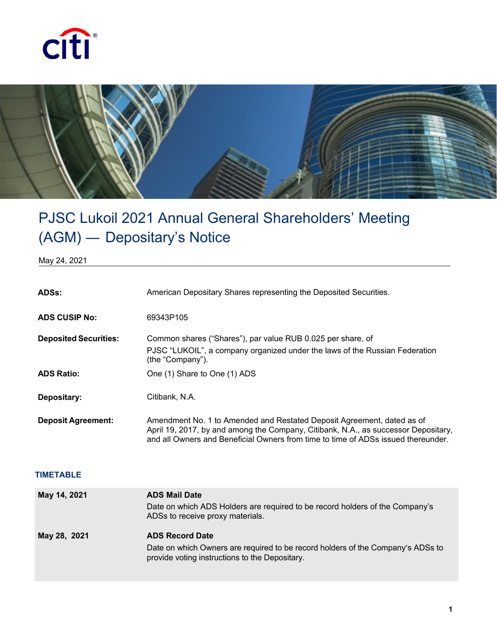



## PJSC Lukoil 2021 Annual General Shareholders' Meeting (AGM) ― Depositary's Notice

May 24, 2021

| ADSs:                        | American Depositary Shares representing the Deposited Securities.                                                                                                                                                                                 |
|------------------------------|---------------------------------------------------------------------------------------------------------------------------------------------------------------------------------------------------------------------------------------------------|
| <b>ADS CUSIP No:</b>         | 69343P105                                                                                                                                                                                                                                         |
| <b>Deposited Securities:</b> | Common shares ("Shares"), par value RUB 0.025 per share, of<br>PJSC "LUKOIL", a company organized under the laws of the Russian Federation<br>(the "Company").                                                                                    |
| <b>ADS Ratio:</b>            | One (1) Share to One (1) ADS                                                                                                                                                                                                                      |
| Depositary:                  | Citibank, N.A.                                                                                                                                                                                                                                    |
| <b>Deposit Agreement:</b>    | Amendment No. 1 to Amended and Restated Deposit Agreement, dated as of<br>April 19, 2017, by and among the Company, Citibank, N.A., as successor Depositary,<br>and all Owners and Beneficial Owners from time to time of ADSs issued thereunder. |

## **TIMETABLE**

| May 14, 2021 | <b>ADS Mail Date</b><br>Date on which ADS Holders are required to be record holders of the Company's<br>ADSs to receive proxy materials.                    |
|--------------|-------------------------------------------------------------------------------------------------------------------------------------------------------------|
| May 28, 2021 | <b>ADS Record Date</b><br>Date on which Owners are required to be record holders of the Company's ADSs to<br>provide voting instructions to the Depositary. |